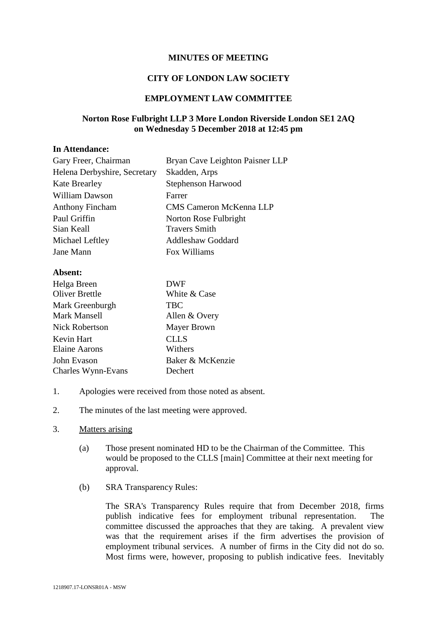### **MINUTES OF MEETING**

# **CITY OF LONDON LAW SOCIETY**

## **EMPLOYMENT LAW COMMITTEE**

# **Norton Rose Fulbright LLP 3 More London Riverside London SE1 2AQ on Wednesday 5 December 2018 at 12:45 pm**

#### **In Attendance:**

| Gary Freer, Chairman         | Bryan Cave Leighton Paisner LLP |
|------------------------------|---------------------------------|
| Helena Derbyshire, Secretary | Skadden, Arps                   |
| <b>Kate Brearley</b>         | Stephenson Harwood              |
| William Dawson               | Farrer                          |
| <b>Anthony Fincham</b>       | <b>CMS Cameron McKenna LLP</b>  |
| Paul Griffin                 | Norton Rose Fulbright           |
| Sian Keall                   | <b>Travers Smith</b>            |
| Michael Leftley              | <b>Addleshaw Goddard</b>        |
| Jane Mann                    | Fox Williams                    |

#### **Absent:**

| Helga Breen           | DWF                |
|-----------------------|--------------------|
| Oliver Brettle        | White & Case       |
| Mark Greenburgh       | <b>TBC</b>         |
| Mark Mansell          | Allen & Overy      |
| <b>Nick Robertson</b> | <b>Mayer Brown</b> |
| Kevin Hart            | <b>CLLS</b>        |
| <b>Elaine Aarons</b>  | Withers            |
| John Evason           | Baker & McKenzie   |
| Charles Wynn-Evans    | Dechert            |

- 1. Apologies were received from those noted as absent.
- 2. The minutes of the last meeting were approved.

#### 3. Matters arising

- (a) Those present nominated HD to be the Chairman of the Committee. This would be proposed to the CLLS [main] Committee at their next meeting for approval.
- (b) SRA Transparency Rules:

The SRA's Transparency Rules require that from December 2018, firms publish indicative fees for employment tribunal representation. The committee discussed the approaches that they are taking. A prevalent view was that the requirement arises if the firm advertises the provision of employment tribunal services. A number of firms in the City did not do so. Most firms were, however, proposing to publish indicative fees. Inevitably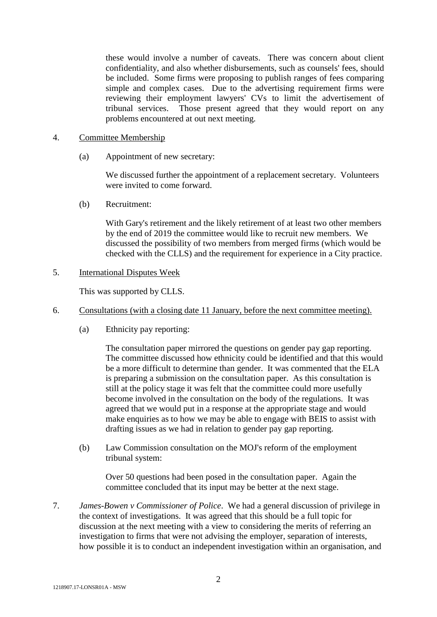these would involve a number of caveats. There was concern about client confidentiality, and also whether disbursements, such as counsels' fees, should be included. Some firms were proposing to publish ranges of fees comparing simple and complex cases. Due to the advertising requirement firms were reviewing their employment lawyers' CVs to limit the advertisement of tribunal services. Those present agreed that they would report on any problems encountered at out next meeting.

#### 4. Committee Membership

(a) Appointment of new secretary:

We discussed further the appointment of a replacement secretary. Volunteers were invited to come forward.

(b) Recruitment:

With Gary's retirement and the likely retirement of at least two other members by the end of 2019 the committee would like to recruit new members. We discussed the possibility of two members from merged firms (which would be checked with the CLLS) and the requirement for experience in a City practice.

# 5. International Disputes Week

This was supported by CLLS.

- 6. Consultations (with a closing date 11 January, before the next committee meeting).
	- (a) Ethnicity pay reporting:

The consultation paper mirrored the questions on gender pay gap reporting. The committee discussed how ethnicity could be identified and that this would be a more difficult to determine than gender. It was commented that the ELA is preparing a submission on the consultation paper. As this consultation is still at the policy stage it was felt that the committee could more usefully become involved in the consultation on the body of the regulations. It was agreed that we would put in a response at the appropriate stage and would make enquiries as to how we may be able to engage with BEIS to assist with drafting issues as we had in relation to gender pay gap reporting.

(b) Law Commission consultation on the MOJ's reform of the employment tribunal system:

Over 50 questions had been posed in the consultation paper. Again the committee concluded that its input may be better at the next stage.

7. *James-Bowen v Commissioner of Police*. We had a general discussion of privilege in the context of investigations. It was agreed that this should be a full topic for discussion at the next meeting with a view to considering the merits of referring an investigation to firms that were not advising the employer, separation of interests, how possible it is to conduct an independent investigation within an organisation, and